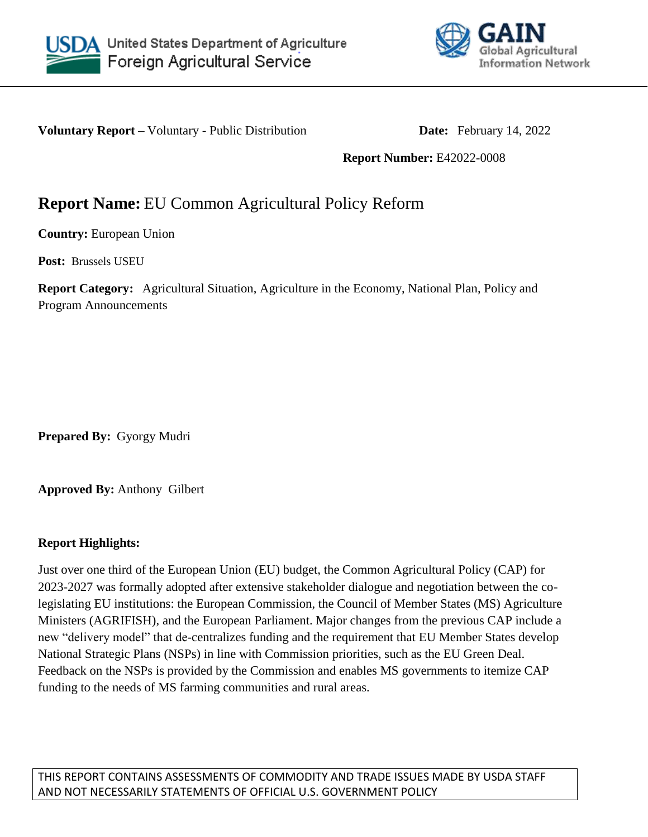



**Voluntary Report** – Voluntary - Public Distribution **Date:** February 14, 2022

**Report Number:** E42022-0008

# **Report Name:** EU Common Agricultural Policy Reform

**Country:** European Union

**Post:** Brussels USEU

**Report Category:** Agricultural Situation, Agriculture in the Economy, National Plan, Policy and Program Announcements

**Prepared By:** Gyorgy Mudri

**Approved By:** Anthony Gilbert

#### **Report Highlights:**

Just over one third of the European Union (EU) budget, the Common Agricultural Policy (CAP) for 2023-2027 was formally adopted after extensive stakeholder dialogue and negotiation between the colegislating EU institutions: the European Commission, the Council of Member States (MS) Agriculture Ministers (AGRIFISH), and the European Parliament. Major changes from the previous CAP include a new "delivery model" that de-centralizes funding and the requirement that EU Member States develop National Strategic Plans (NSPs) in line with Commission priorities, such as the EU Green Deal. Feedback on the NSPs is provided by the Commission and enables MS governments to itemize CAP funding to the needs of MS farming communities and rural areas.

THIS REPORT CONTAINS ASSESSMENTS OF COMMODITY AND TRADE ISSUES MADE BY USDA STAFF AND NOT NECESSARILY STATEMENTS OF OFFICIAL U.S. GOVERNMENT POLICY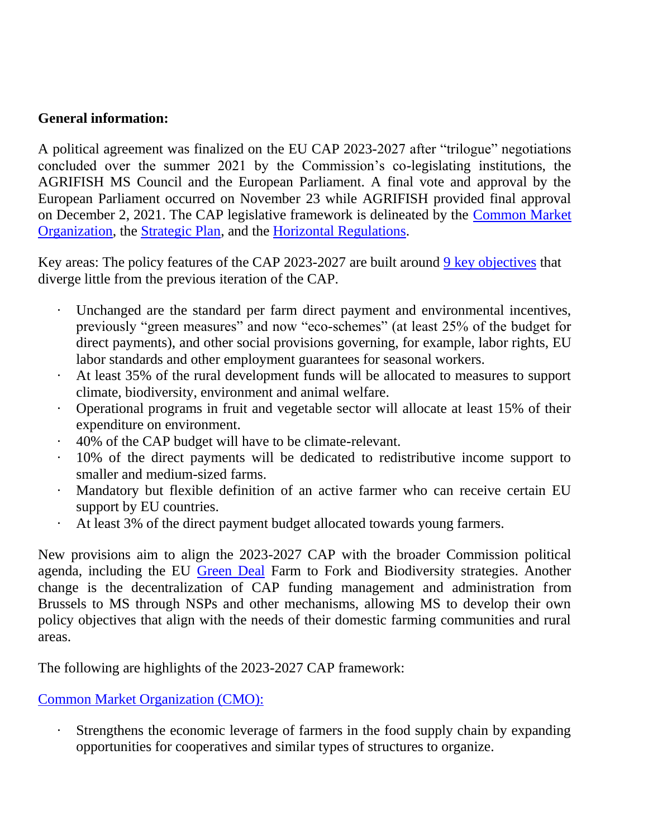### **General information:**

A political agreement was finalized on the EU CAP 2023-2027 after "trilogue" negotiations concluded over the summer 2021 by the Commission's co-legislating institutions, the AGRIFISH MS Council and the European Parliament. A final vote and approval by the European Parliament occurred on November 23 while AGRIFISH provided final approval on December 2, 2021. The CAP legislative framework is delineated by the [Common Market](https://eur-lex.europa.eu/legal-content/EN/TXT/?uri=CELEX%3A32021R2117&qid=1638780120389)  [Organization,](https://eur-lex.europa.eu/legal-content/EN/TXT/?uri=CELEX%3A32021R2117&qid=1638780120389) the [Strategic Plan,](https://eur-lex.europa.eu/legal-content/EN/TXT/?uri=CELEX%3A32021R2115&qid=1638779822842) and the [Horizontal Regulations.](https://eur-lex.europa.eu/legal-content/EN/TXT/?uri=CELEX%3A32021R2116&qid=1638780120389)

Key areas: The policy features of the CAP 2023-2027 are built around [9 key objectives](https://ec.europa.eu/info/food-farming-fisheries/key-policies/common-agricultural-policy/new-cap-2023-27_en) that diverge little from the previous iteration of the CAP.

- Unchanged are the standard per farm direct payment and environmental incentives, previously "green measures" and now "eco-schemes" (at least 25% of the budget for direct payments), and other social provisions governing, for example, labor rights, EU labor standards and other employment guarantees for seasonal workers.
- · At least 35% of the rural development funds will be allocated to measures to support climate, biodiversity, environment and animal welfare.
- · Operational programs in fruit and vegetable sector will allocate at least 15% of their expenditure on environment.
- · 40% of the CAP budget will have to be climate-relevant.
- · 10% of the direct payments will be dedicated to redistributive income support to smaller and medium-sized farms.
- Mandatory but flexible definition of an active farmer who can receive certain EU support by EU countries.
- At least 3% of the direct payment budget allocated towards young farmers.

New provisions aim to align the 2023-2027 CAP with the broader Commission political agenda, including the EU [Green Deal](https://ec.europa.eu/info/strategy/priorities-2019-2024/european-green-deal_en) Farm to Fork and Biodiversity strategies. Another change is the decentralization of CAP funding management and administration from Brussels to MS through NSPs and other mechanisms, allowing MS to develop their own policy objectives that align with the needs of their domestic farming communities and rural areas.

The following are highlights of the 2023-2027 CAP framework:

#### [Common Market Organization \(CMO\):](https://www.europarl.europa.eu/RegData/etudes/ATAG/2021/698786/EPRS_ATA(2021)698786_EN.pdf)

Strengthens the economic leverage of farmers in the food supply chain by expanding opportunities for cooperatives and similar types of structures to organize.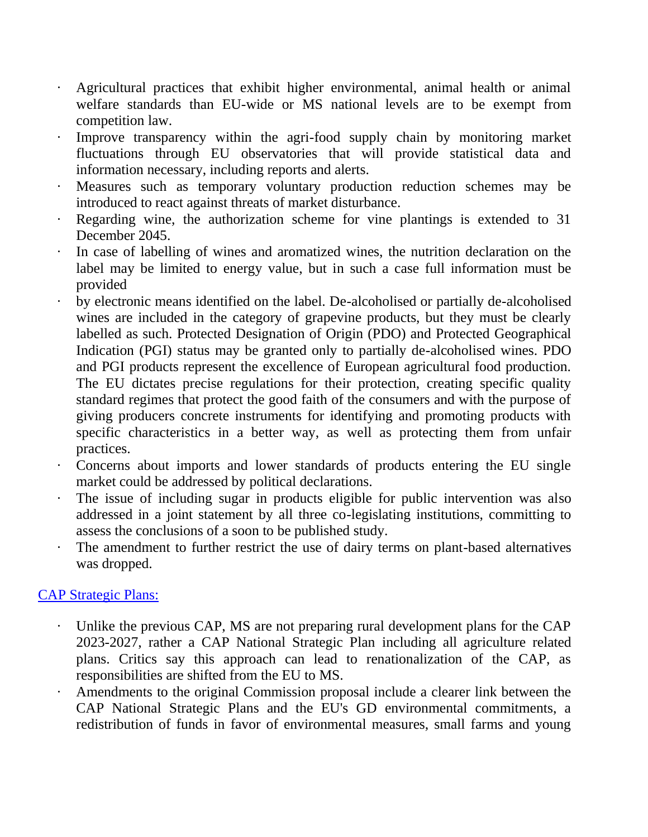- · Agricultural practices that exhibit higher environmental, animal health or animal welfare standards than EU-wide or MS national levels are to be exempt from competition law.
- Improve transparency within the agri-food supply chain by monitoring market fluctuations through EU observatories that will provide statistical data and information necessary, including reports and alerts.
- · Measures such as temporary voluntary production reduction schemes may be introduced to react against threats of market disturbance.
- · Regarding wine, the authorization scheme for vine plantings is extended to 31 December 2045.
- In case of labelling of wines and aromatized wines, the nutrition declaration on the label may be limited to energy value, but in such a case full information must be provided
- by electronic means identified on the label. De-alcoholised or partially de-alcoholised wines are included in the category of grapevine products, but they must be clearly labelled as such. Protected Designation of Origin (PDO) and Protected Geographical Indication (PGI) status may be granted only to partially de-alcoholised wines. PDO and PGI products represent the excellence of European agricultural food production. The EU dictates precise regulations for their protection, creating specific quality standard regimes that protect the good faith of the consumers and with the purpose of giving producers concrete instruments for identifying and promoting products with specific characteristics in a better way, as well as protecting them from unfair practices.
- · Concerns about imports and lower standards of products entering the EU single market could be addressed by political declarations.
- · The issue of including sugar in products eligible for public intervention was also addressed in a joint statement by all three co-legislating institutions, committing to assess the conclusions of a soon to be published study.
- The amendment to further restrict the use of dairy terms on plant-based alternatives was dropped.

# [CAP Strategic Plans:](https://www.europarl.europa.eu/RegData/etudes/BRIE/2018/630324/EPRS_BRI(2018)630324_EN.pdf)

- Unlike the previous CAP, MS are not preparing rural development plans for the CAP 2023-2027, rather a CAP National Strategic Plan including all agriculture related plans. Critics say this approach can lead to renationalization of the CAP, as responsibilities are shifted from the EU to MS.
- Amendments to the original Commission proposal include a clearer link between the CAP National Strategic Plans and the EU's GD environmental commitments, a redistribution of funds in favor of environmental measures, small farms and young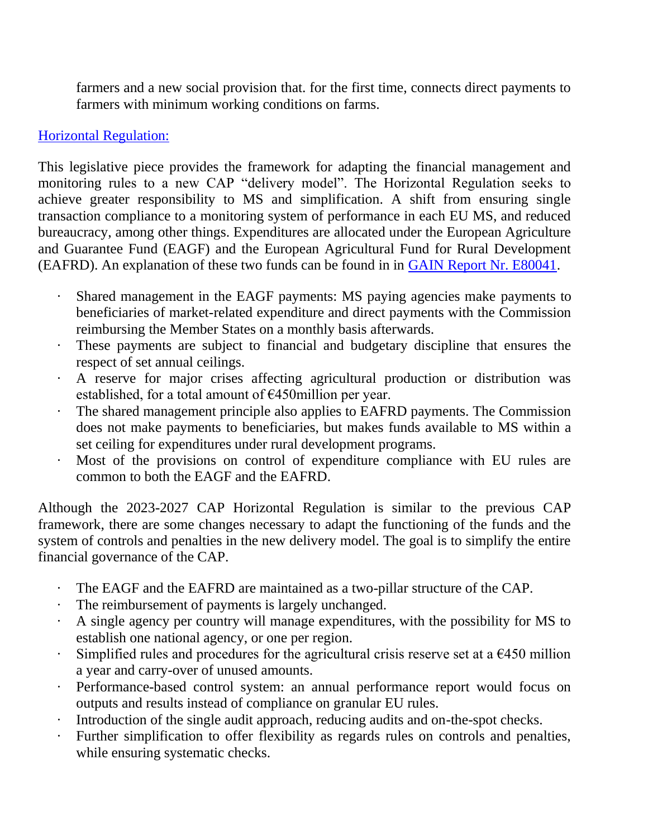farmers and a new social provision that. for the first time, connects direct payments to farmers with minimum working conditions on farms.

# [Horizontal Regulation:](https://www.europarl.europa.eu/RegData/etudes/BRIE/2018/628302/EPRS_BRI(2018)628302_EN.pdf)

This legislative piece provides the framework for adapting the financial management and monitoring rules to a new CAP "delivery model". The Horizontal Regulation seeks to achieve greater responsibility to MS and simplification. A shift from ensuring single transaction compliance to a monitoring system of performance in each EU MS, and reduced bureaucracy, among other things. Expenditures are allocated under the European Agriculture and Guarantee Fund (EAGF) and the European Agricultural Fund for Rural Development (EAFRD). An explanation of these two funds can be found in in [GAIN Report Nr. E80041.](https://apps.fas.usda.gov/newgainapi/api/report/downloadreportbyfilename?filename=Understanding%20the%20Political%20Agreements%20on%20CAP%20and%20MFF_Brussels%20USEU_EU-27_9-6-2013.pdf)

- · Shared management in the EAGF payments: MS paying agencies make payments to beneficiaries of market-related expenditure and direct payments with the Commission reimbursing the Member States on a monthly basis afterwards.
- These payments are subject to financial and budgetary discipline that ensures the respect of set annual ceilings.
- A reserve for major crises affecting agricultural production or distribution was established, for a total amount of €450million per year.
- The shared management principle also applies to EAFRD payments. The Commission does not make payments to beneficiaries, but makes funds available to MS within a set ceiling for expenditures under rural development programs.
- Most of the provisions on control of expenditure compliance with EU rules are common to both the EAGF and the EAFRD.

Although the 2023-2027 CAP Horizontal Regulation is similar to the previous CAP framework, there are some changes necessary to adapt the functioning of the funds and the system of controls and penalties in the new delivery model. The goal is to simplify the entire financial governance of the CAP.

- The EAGF and the EAFRD are maintained as a two-pillar structure of the CAP.
- The reimbursement of payments is largely unchanged.
- A single agency per country will manage expenditures, with the possibility for MS to establish one national agency, or one per region.
- Simplified rules and procedures for the agricultural crisis reserve set at a  $\epsilon$ 450 million a year and carry-over of unused amounts.
- · Performance-based control system: an annual performance report would focus on outputs and results instead of compliance on granular EU rules.
- Introduction of the single audit approach, reducing audits and on-the-spot checks.
- Further simplification to offer flexibility as regards rules on controls and penalties, while ensuring systematic checks.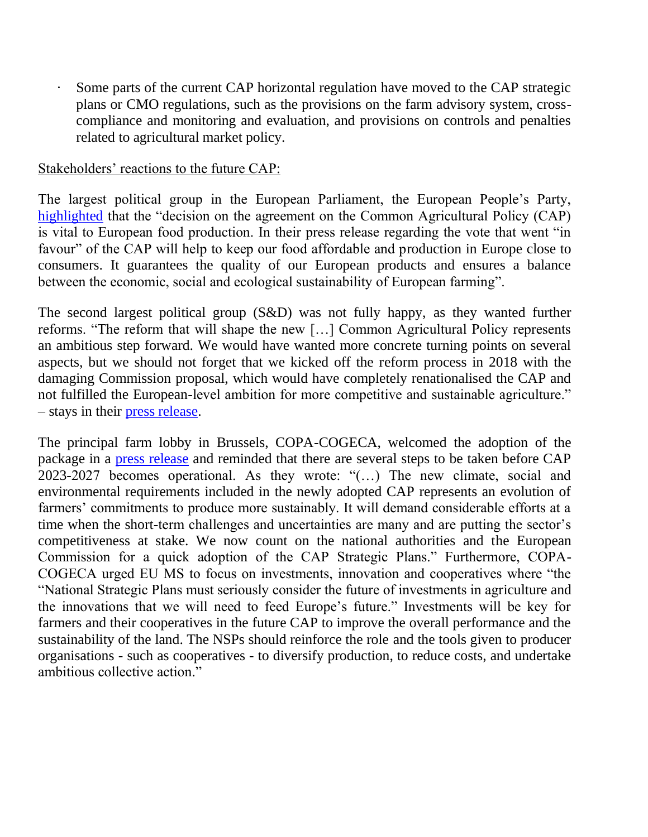Some parts of the current CAP horizontal regulation have moved to the CAP strategic plans or CMO regulations, such as the provisions on the farm advisory system, crosscompliance and monitoring and evaluation, and provisions on controls and penalties related to agricultural market policy.

#### Stakeholders' reactions to the future CAP:

The largest political group in the European Parliament, the European People's Party, [highlighted](https://www.eppgroup.eu/newsroom/news/support-for-new-farm-policy-is-support-for-local-food) that the "decision on the agreement on the Common Agricultural Policy (CAP) is vital to European food production. In their press release regarding the vote that went "in favour" of the CAP will help to keep our food affordable and production in Europe close to consumers. It guarantees the quality of our European products and ensures a balance between the economic, social and ecological sustainability of European farming".

The second largest political group (S&D) was not fully happy, as they wanted further reforms. "The reform that will shape the new […] Common Agricultural Policy represents an ambitious step forward. We would have wanted more concrete turning points on several aspects, but we should not forget that we kicked off the reform process in 2018 with the damaging Commission proposal, which would have completely renationalised the CAP and not fulfilled the European-level ambition for more competitive and sustainable agriculture." – stays in their [press release.](https://www.socialistsanddemocrats.eu/newsroom/sds-we-shaped-new-green-fair-and-more-social-common-agricultural-policy)

The principal farm lobby in Brussels, COPA-COGECA, welcomed the adoption of the package in a [press release](https://copa-cogeca.eu/press-releases) and reminded that there are several steps to be taken before CAP 2023-2027 becomes operational. As they wrote: "(…) The new climate, social and environmental requirements included in the newly adopted CAP represents an evolution of farmers' commitments to produce more sustainably. It will demand considerable efforts at a time when the short-term challenges and uncertainties are many and are putting the sector's competitiveness at stake. We now count on the national authorities and the European Commission for a quick adoption of the CAP Strategic Plans." Furthermore, COPA-COGECA urged EU MS to focus on investments, innovation and cooperatives where "the "National Strategic Plans must seriously consider the future of investments in agriculture and the innovations that we will need to feed Europe's future." Investments will be key for farmers and their cooperatives in the future CAP to improve the overall performance and the sustainability of the land. The NSPs should reinforce the role and the tools given to producer organisations - such as cooperatives - to diversify production, to reduce costs, and undertake ambitious collective action."